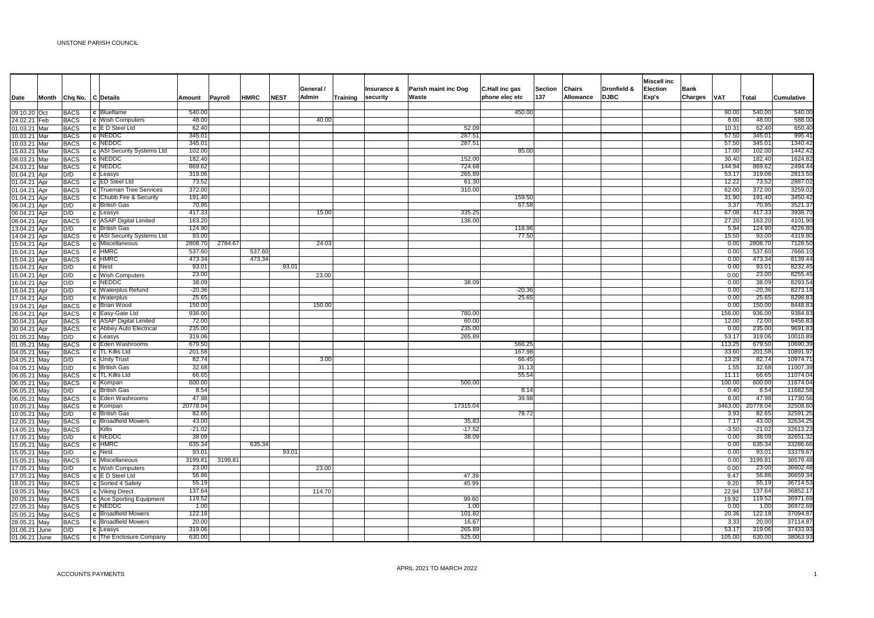| Date                         |     | Month Chq No.              | C Details                       | Amount           | Payroll | HMRC   | <b>NEST</b> | General /<br>Admin | Training | Insurance &<br>security | Parish maint inc Dog<br>Waste | C.Hall inc gas<br>phone elec etc | <b>Section</b><br>137 | <b>Chairs</b><br>Allowance | <b>Dronfield &amp;</b><br><b>DJBC</b> | Miscell inc<br>Election<br>Exp's | <b>Bank</b><br>Charges VAT |               | Total            | <b>Cumulative</b>   |
|------------------------------|-----|----------------------------|---------------------------------|------------------|---------|--------|-------------|--------------------|----------|-------------------------|-------------------------------|----------------------------------|-----------------------|----------------------------|---------------------------------------|----------------------------------|----------------------------|---------------|------------------|---------------------|
|                              |     |                            |                                 | 540.00           |         |        |             |                    |          |                         |                               | 450.00                           |                       |                            |                                       |                                  |                            |               | 540.00           | 540.00              |
| 09.10.20 Oct                 |     | <b>BACS</b>                | c Blueflame<br>c Wish Computers | 48.00            |         |        |             | 40.00              |          |                         |                               |                                  |                       |                            |                                       |                                  |                            | 90.00<br>8.00 | 48.00            | 588.00              |
| 24.02.21 Feb<br>01.03.21 Mar |     | <b>BACS</b><br><b>BACS</b> | c E D Steel Ltd                 | 62.40            |         |        |             |                    |          |                         | 52.09                         |                                  |                       |                            |                                       |                                  |                            | 10.31         | 62.40            | 650.40              |
| 10.03.21 Mar                 |     | <b>BACS</b>                | c NEDDC                         | 345.01           |         |        |             |                    |          |                         | 287.51                        |                                  |                       |                            |                                       |                                  |                            | 57.50         | 345.01           | 995.41              |
| 10.03.21 Mar                 |     | <b>BACS</b>                | c NEDDC                         | 345.01           |         |        |             |                    |          |                         | 287.51                        |                                  |                       |                            |                                       |                                  |                            | 57.50         | 345.01           | 1340.42             |
| 15.03.21                     | Mar | <b>BACS</b>                | c ASI Security Systems Ltd      | 102.00           |         |        |             |                    |          |                         |                               | 85.00                            |                       |                            |                                       |                                  |                            | 17.00         | 102.00           | 1442.42             |
| 08.03.21 Mar                 |     | <b>BACS</b>                | c NEDDC                         | 182.40           |         |        |             |                    |          |                         | 152.00                        |                                  |                       |                            |                                       |                                  |                            | 30.40         | 182.40           | 1624.82             |
| 24.03.21 Mar                 |     | <b>BACS</b>                | c NEDDC                         | 869.62           |         |        |             |                    |          |                         | 724.68                        |                                  |                       |                            |                                       |                                  |                            | 144.94        | 869.62           | 2494.44             |
| 01.04.21 Apr                 |     | D/D                        | c Leasys                        | 319.06           |         |        |             |                    |          |                         | 265.89                        |                                  |                       |                            |                                       |                                  |                            | 53.1          | 319.06           | 2813.50             |
| 01.04.21 Apr                 |     | <b>BACS</b>                | c <b>ED</b> Steel Ltd           | 73.52            |         |        |             |                    |          |                         | 61.30                         |                                  |                       |                            |                                       |                                  |                            | 12.22         | 73.52            | 2887.02             |
| 01.04.21 Apr                 |     | <b>BACS</b>                | c Trueman Tree Services         | 372.00           |         |        |             |                    |          |                         | 310.00                        |                                  |                       |                            |                                       |                                  |                            | 62.00         | 372.00           | 3259.02             |
| 01.04.21 Apr                 |     | <b>BACS</b>                | c Chubb Fire & Security         | 191.40           |         |        |             |                    |          |                         |                               | 159.50                           |                       |                            |                                       |                                  |                            | 31.90         | 191.40           | 3450.42             |
| 06.04.21 Apr                 |     | D/D                        | c British Gas                   | 70.95            |         |        |             |                    |          |                         |                               | 67.58                            |                       |                            |                                       |                                  |                            | 3.37          | 70.95            | 3521.37             |
| 06.04.21 Apr                 |     | D/D                        | c Leasys                        | 417.33           |         |        |             | 15.00              |          |                         | 335.25                        |                                  |                       |                            |                                       |                                  |                            | 67.08         | 417.33           | 3938.70             |
| 08.04.21 Apr                 |     | <b>BACS</b>                | c ASAP Digital Limited          | 163.20           |         |        |             |                    |          |                         | 136.00                        |                                  |                       |                            |                                       |                                  |                            | 27.20         | 163.20           | 4101.90             |
| 13.04.21 Apr                 |     | D/D                        | c British Gas                   | 124.90           |         |        |             |                    |          |                         |                               | 118.96                           |                       |                            |                                       |                                  |                            | 5.94          | 124.90           | 4226.80             |
| 14.04.21 Apr                 |     | <b>BACS</b>                | c ASI Security Systems Ltd      | 93.00            |         |        |             |                    |          |                         |                               | 77.50                            |                       |                            |                                       |                                  |                            | 15.50         | 93.00            | 4319.80             |
| 15.04.21 Apr                 |     | <b>BACS</b>                | c Miscellaneous                 | 2808.70          | 2784.67 |        |             | 24.03              |          |                         |                               |                                  |                       |                            |                                       |                                  |                            | 0.00          | 2808.70          | 7128.50             |
| 15.04.21 Apr                 |     | <b>BACS</b>                | c HMRC                          | 537.60           |         | 537.60 |             |                    |          |                         |                               |                                  |                       |                            |                                       |                                  |                            | 0.00          | 537.60           | 7666.10             |
| 15.04.21 Apr                 |     | <b>BACS</b>                | c HMRC                          | 473.34           |         | 473.34 |             |                    |          |                         |                               |                                  |                       |                            |                                       |                                  |                            | 0.00          | 473.34           | 8139.44             |
| 15.04.21 Apr                 |     | D/D                        | c Nest                          | 93.01            |         |        | 93.01       |                    |          |                         |                               |                                  |                       |                            |                                       |                                  |                            | 0.00          | 93.01            | 8232.45             |
| 15.04.21 Apr                 |     | D/D                        | c Wish Computers                | 23.00            |         |        |             | 23.00              |          |                         |                               |                                  |                       |                            |                                       |                                  |                            | 0.00          | 23.00            | 8255.45             |
| 16.04.21 Apr                 |     | D/D                        | c NEDDC                         | 38.09            |         |        |             |                    |          |                         | 38.09                         |                                  |                       |                            |                                       |                                  |                            | 0.00          | 38.09            | 8293.54             |
| 16.04.21 Apr                 |     | D/D                        | c Waterplus Refund              | $-20.36$         |         |        |             |                    |          |                         |                               | $-20.36$                         |                       |                            |                                       |                                  |                            | 0.00          | $-20.36$         | 8273.18             |
| 17.04.21 Apr                 |     | D/D                        | c Waterplus                     | 25.65            |         |        |             |                    |          |                         |                               | 25.65                            |                       |                            |                                       |                                  |                            | 0.00          | 25.65            | 8298.83             |
| 19.04.21 Apr                 |     | <b>BACS</b>                | c Brian Wood                    | 150.00           |         |        |             | 150.00             |          |                         |                               |                                  |                       |                            |                                       |                                  |                            | 0.00          | 150.00           | 8448.83             |
| 26.04.21 Apr                 |     | <b>BACS</b>                | c Easy-Gate Ltd                 | 936.00           |         |        |             |                    |          |                         | 780.00                        |                                  |                       |                            |                                       |                                  |                            | 156.00        | 936.00           | 9384.83             |
| 30.04.21 Apr                 |     | <b>BACS</b>                | c ASAP Digital Limited          | 72.00            |         |        |             |                    |          |                         | 60.00                         |                                  |                       |                            |                                       |                                  |                            | 12.00         | 72.00            | 9456.83             |
| 30.04.21 Apr                 |     | <b>BACS</b>                | c Abbey Auto Electrical         | 235.00<br>319.06 |         |        |             |                    |          |                         | 235.00                        |                                  |                       |                            |                                       |                                  |                            | 0.00<br>53.17 | 235.00<br>319.06 | 9691.83<br>10010.89 |
| 01.05.21 May                 |     | D/D                        | c Leasys<br>c Eden Washrooms    | 679.50           |         |        |             |                    |          |                         | 265.89                        |                                  |                       |                            |                                       |                                  |                            | 113.25        | 679.50           | 10690.39            |
| 01.05.21 May                 |     | <b>BACS</b><br><b>BACS</b> | c   TL Killis Ltd               | 201.58           |         |        |             |                    |          |                         |                               | 566.25<br>167.98                 |                       |                            |                                       |                                  |                            | 33.60         | 201.58           | 10891.97            |
| 04.05.21<br>04.05.21 May     | May | D/D                        | c Unity Trust                   | 82.74            |         |        |             | 3.00               |          |                         |                               | 66.45                            |                       |                            |                                       |                                  |                            | 13.29         | 82.74            | 10974.71            |
| 04.05.21 May                 |     | D/D                        | c British Gas                   | 32.68            |         |        |             |                    |          |                         |                               | 31.13                            |                       |                            |                                       |                                  |                            | 1.55          | 32.68            | 11007.39            |
| 06.05.21 May                 |     | <b>BACS</b>                | c TL Killis Ltd                 | 66.65            |         |        |             |                    |          |                         |                               | 55.54                            |                       |                            |                                       |                                  |                            | 11.1          | 66.65            | 11074.04            |
| 06.05.21 May                 |     | <b>BACS</b>                | c Kompan                        | 600.00           |         |        |             |                    |          |                         | 500.00                        |                                  |                       |                            |                                       |                                  |                            | 100.00        | 600.00           | 11674.04            |
| 06.05.21 May                 |     | D/D                        | c British Gas                   | 8.54             |         |        |             |                    |          |                         |                               | 8.14                             |                       |                            |                                       |                                  |                            | 0.40          | 8.54             | 11682.58            |
| 06.05.21 May                 |     | <b>BACS</b>                | c Eden Washrooms                | 47.98            |         |        |             |                    |          |                         |                               | 39.98                            |                       |                            |                                       |                                  |                            | 8.00          | 47.98            | 11730.56            |
| 10.05.21 May                 |     | <b>BACS</b>                | c Kompan                        | 20778.04         |         |        |             |                    |          |                         | 17315.04                      |                                  |                       |                            |                                       |                                  |                            | 3463.00       | 20778.04         | 32508.60            |
| 10.05.21 May                 |     | D/D                        | c British Gas                   | 82.65            |         |        |             |                    |          |                         |                               | 78.72                            |                       |                            |                                       |                                  |                            | 3.93          | 82.65            | 32591.25            |
| 12.05.21 May                 |     | <b>BACS</b>                | c Broadfield Mowers             | 43.00            |         |        |             |                    |          |                         | 35.83                         |                                  |                       |                            |                                       |                                  |                            | 7.17          | 43.00            | 32634.25            |
| 14.05.21 May                 |     | <b>BACS</b>                | Killis                          | $-21.02$         |         |        |             |                    |          |                         | $-17.52$                      |                                  |                       |                            |                                       |                                  |                            | $-3.50$       | $-21.02$         | 32613.23            |
| 17.05.21                     | May | D/D                        | c NEDDC                         | 38.09            |         |        |             |                    |          |                         | 38.09                         |                                  |                       |                            |                                       |                                  |                            | 0.00          | 38.09            | 32651.32            |
| 15.05.21 May                 |     | <b>BACS</b>                | c HMRC                          | 635.34           |         | 635.34 |             |                    |          |                         |                               |                                  |                       |                            |                                       |                                  |                            | 0.00          | 635.34           | 33286.66            |
| 15.05.21 May                 |     | D/D                        | c Nest                          | 93.01            |         |        | 93.01       |                    |          |                         |                               |                                  |                       |                            |                                       |                                  |                            | 0.00          | 93.01            | 33379.67            |
| 15.05.21 May                 |     | <b>BACS</b>                | c Miscellaneous                 | 3199.81          | 3199.81 |        |             |                    |          |                         |                               |                                  |                       |                            |                                       |                                  |                            | 0.00          | 3199.81          | 36579.48            |
| 17.05.21 May                 |     | D/D                        | c Wish Computers                | 23.00            |         |        |             | 23.00              |          |                         |                               |                                  |                       |                            |                                       |                                  |                            | 0.00          | 23.00            | 36602.48            |
| 17.05.21 May                 |     | <b>BACS</b>                | c E D Steel Ltd                 | 56.86            |         |        |             |                    |          |                         | 47.39                         |                                  |                       |                            |                                       |                                  |                            | 9.47          | 56.86            | 36659.34            |
| 18.05.21 May                 |     | <b>BACS</b>                | c Sorted 4 Safety               | 55.19            |         |        |             |                    |          |                         | 45.99                         |                                  |                       |                            |                                       |                                  |                            | 9.20          | 55.19            | 36714.53            |
| 19.05.21 May                 |     | <b>BACS</b>                | c Viking Direct                 | 137.64           |         |        |             | 114.70             |          |                         |                               |                                  |                       |                            |                                       |                                  |                            | 22.94         | 137.64           | 36852.17            |
| 20.05.21 May                 |     | <b>BACS</b>                | c Ace Sporting Equipment        | 119.52           |         |        |             |                    |          |                         | 99.60                         |                                  |                       |                            |                                       |                                  |                            | 19.92         | 119.52           | 36971.69            |
| 22.05.21 May                 |     | <b>BACS</b>                | c NEDDC                         | 1.00             |         |        |             |                    |          |                         | 1.00                          |                                  |                       |                            |                                       |                                  |                            | 0.00          | 1.00             | 36972.69            |
| 25.05.21 May                 |     | <b>BACS</b>                | c Broadfield Mowers             | 122.18           |         |        |             |                    |          |                         | 101.82                        |                                  |                       |                            |                                       |                                  |                            | 20.36         | 122.18           | 37094.87            |
| 28.05.21                     | May | <b>BACS</b>                | c Broadfield Mowers             | 20.00            |         |        |             |                    |          |                         | 16.67                         |                                  |                       |                            |                                       |                                  |                            | 3.33          | 20.00            | 37114.87            |
| 01.06.21 June                |     | D/D                        | c Leasys                        | 319.06           |         |        |             |                    |          |                         | 265.89                        |                                  |                       |                            |                                       |                                  |                            | 53.1          | 319.06           | 37433.93            |
| 01.06.21 June                |     | <b>BACS</b>                | c The Enclosure Company         | 630.00           |         |        |             |                    |          |                         | 525.00                        |                                  |                       |                            |                                       |                                  |                            | 105.00        | 630.00           | 38063.93            |